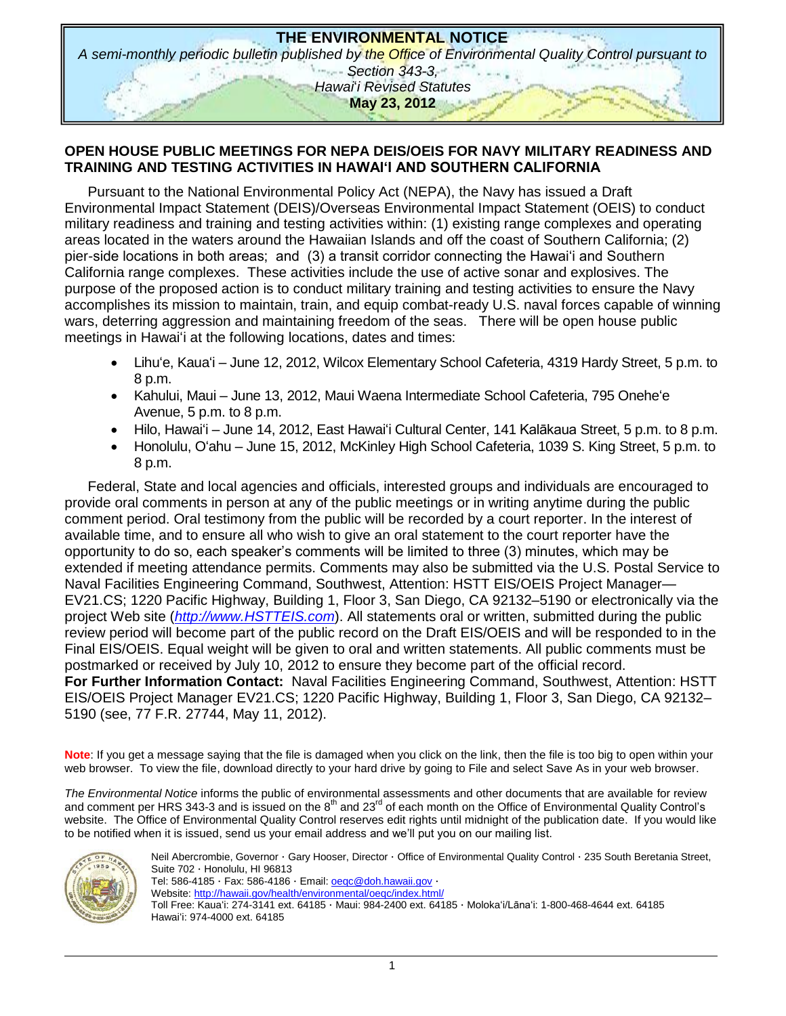

# **OPEN HOUSE PUBLIC MEETINGS FOR NEPA DEIS/OEIS FOR NAVY MILITARY READINESS AND TRAINING AND TESTING ACTIVITIES IN HAWAI'I AND SOUTHERN CALIFORNIA**

Pursuant to the National Environmental Policy Act (NEPA), the Navy has issued a Draft Environmental Impact Statement (DEIS)/Overseas Environmental Impact Statement (OEIS) to conduct military readiness and training and testing activities within: (1) existing range complexes and operating areas located in the waters around the Hawaiian Islands and off the coast of Southern California; (2) pier-side locations in both areas; and (3) a transit corridor connecting the Hawai'i and Southern California range complexes. These activities include the use of active sonar and explosives. The purpose of the proposed action is to conduct military training and testing activities to ensure the Navy accomplishes its mission to maintain, train, and equip combat-ready U.S. naval forces capable of winning wars, deterring aggression and maintaining freedom of the seas. There will be open house public meetings in Hawaiʻi at the following locations, dates and times:

- Lihuʻe, Kauaʻi June 12, 2012, Wilcox Elementary School Cafeteria, 4319 Hardy Street, 5 p.m. to 8 p.m.
- Kahului, Maui June 13, 2012, Maui Waena Intermediate School Cafeteria, 795 Oneheʻe Avenue, 5 p.m. to 8 p.m.
- Hilo, Hawaiʻi June 14, 2012, East Hawaiʻi Cultural Center, 141 Kalākaua Street, 5 p.m. to 8 p.m.
- Honolulu, Oʻahu June 15, 2012, McKinley High School Cafeteria, 1039 S. King Street, 5 p.m. to 8 p.m.

Federal, State and local agencies and officials, interested groups and individuals are encouraged to provide oral comments in person at any of the public meetings or in writing anytime during the public comment period. Oral testimony from the public will be recorded by a court reporter. In the interest of available time, and to ensure all who wish to give an oral statement to the court reporter have the opportunity to do so, each speaker's comments will be limited to three (3) minutes, which may be extended if meeting attendance permits. Comments may also be submitted via the U.S. Postal Service to Naval Facilities Engineering Command, Southwest, Attention: HSTT EIS/OEIS Project Manager— EV21.CS; 1220 Pacific Highway, Building 1, Floor 3, San Diego, CA 92132–5190 or electronically via the project Web site (*[http://www.HSTTEIS.com](http://www.hstteis.com/)*). All statements oral or written, submitted during the public review period will become part of the public record on the Draft EIS/OEIS and will be responded to in the Final EIS/OEIS. Equal weight will be given to oral and written statements. All public comments must be postmarked or received by July 10, 2012 to ensure they become part of the official record. **For Further Information Contact:** Naval Facilities Engineering Command, Southwest, Attention: HSTT EIS/OEIS Project Manager EV21.CS; 1220 Pacific Highway, Building 1, Floor 3, San Diego, CA 92132– 5190 (see, 77 F.R. 27744, May 11, 2012).

**Note**: If you get a message saying that the file is damaged when you click on the link, then the file is too big to open within your web browser. To view the file, download directly to your hard drive by going to File and select Save As in your web browser.

*The Environmental Notice* informs the public of environmental assessments and other documents that are available for review and comment per HRS 343-3 and is issued on the  $8<sup>th</sup>$  and 23<sup>rd</sup> of each month on the Office of Environmental Quality Control's website. The Office of Environmental Quality Control reserves edit rights until midnight of the publication date. If you would like to be notified when it is issued, send us your email address and we'll put you on our mailing list.



Neil Abercrombie, Governor · Gary Hooser, Director · Office of Environmental Quality Control · 235 South Beretania Street, Suite 702 · Honolulu, HI 96813 Tel: 586-4185 · Fax: 586-4186 · Email:  $o$ egc@doh.hawaii.gov · Website:<http://hawaii.gov/health/environmental/oeqc/index.html/> Toll Free: Kauaʻi: 274-3141 ext. 64185 · Maui: 984-2400 ext. 64185 · Molokaʻi/Lānaʻi: 1-800-468-4644 ext. 64185 Hawaiʻi: 974-4000 ext. 64185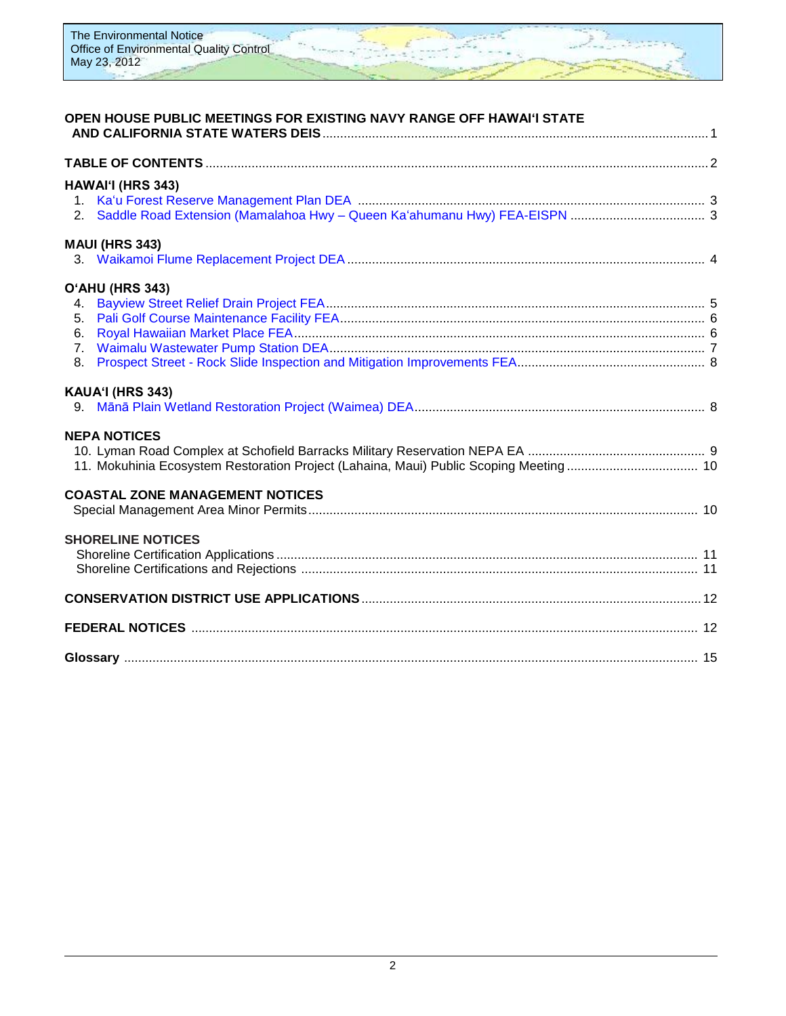

# **OPEN HOUSE PUBLIC MEETINGS FOR EXISTING NAVY RANGE OFF HAWAIʻI STATE**

|                                                    | HAWAI'I (HRS 343)                                                                                             |  |
|----------------------------------------------------|---------------------------------------------------------------------------------------------------------------|--|
|                                                    | <b>MAUI (HRS 343)</b>                                                                                         |  |
| 4.<br>5 <sub>1</sub><br>6.<br>7 <sub>1</sub><br>8. | O'AHU (HRS 343)                                                                                               |  |
|                                                    | KAUA'I (HRS 343)                                                                                              |  |
|                                                    | <b>NEPA NOTICES</b><br>11. Mokuhinia Ecosystem Restoration Project (Lahaina, Maui) Public Scoping Meeting  10 |  |
|                                                    | <b>COASTAL ZONE MANAGEMENT NOTICES</b>                                                                        |  |
|                                                    | <b>SHORELINE NOTICES</b>                                                                                      |  |
|                                                    |                                                                                                               |  |
|                                                    |                                                                                                               |  |
|                                                    |                                                                                                               |  |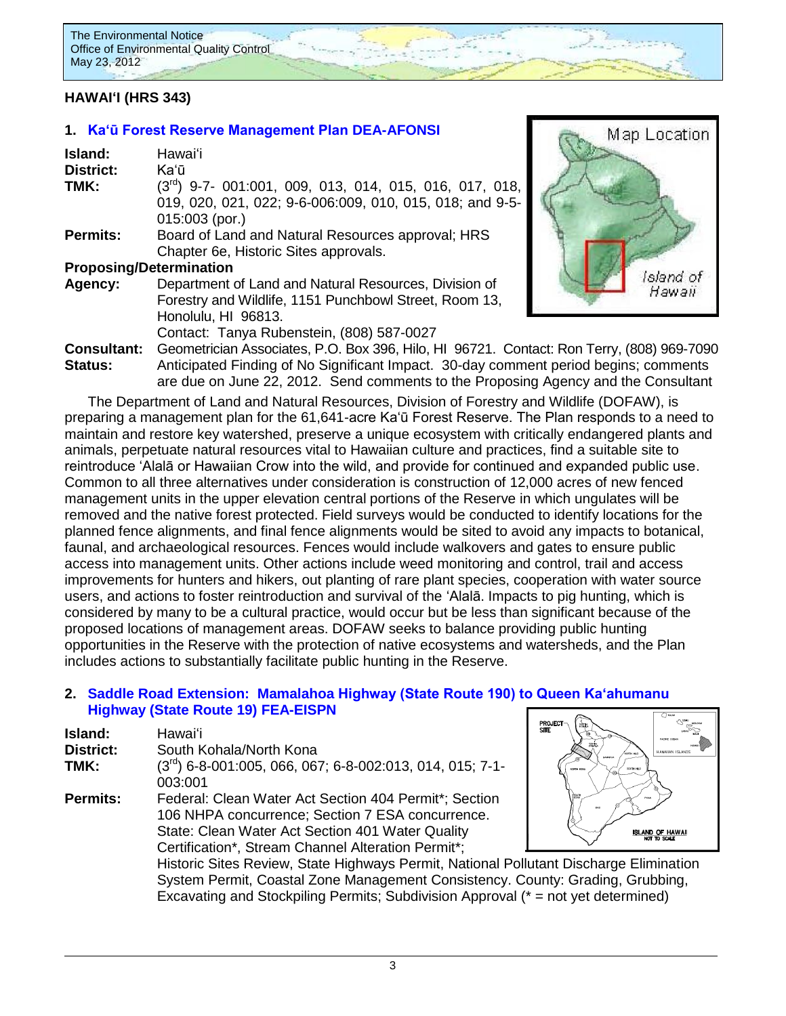# **HAWAIʻI (HRS 343)**

### **1. [Ka'ū Forest Reserve Management Plan](http://oeqc.doh.hawaii.gov/Shared%20Documents/EA_and_EIS_Online_Library/Hawaii/2010s/2012-05-23-DEA-Kau-Forest-Reserve-Management-Plan.pdf) DEA-AFONSI**

| Island:                        | Hawai'i                                                    |
|--------------------------------|------------------------------------------------------------|
| <b>District:</b>               | Kaʻū                                                       |
| TMK:                           | $(3rd)$ 9-7- 001:001, 009, 013, 014, 015, 016, 017, 018,   |
|                                | 019, 020, 021, 022; 9-6-006:009, 010, 015, 018; and 9-5-   |
|                                | $015:003$ (por.)                                           |
| <b>Permits:</b>                | Board of Land and Natural Resources approval; HRS          |
|                                | Chapter 6e, Historic Sites approvals.                      |
| <b>Proposing/Determination</b> |                                                            |
| Agency:                        | Department of Land and Natural Resources, Division of      |
|                                | Forestry and Wildlife, 1151 Punchbowl Street, Room 13,     |
|                                | Honolulu, HI 96813.                                        |
|                                | Contact: Tanya Rubenstein, (808) 587-0027                  |
| <b>Consultant:</b>             | Geometrician Associates, P.O. Box 396, Hilo, HI 96721. Cor |
| $C_{101101}$                   | Aptioinated Finding of No Significant Impact 20 days comm  |



**Consultant:** Geometrician Associates, P.O. Box 396, Hilo, HI 96721. Contact: Ron Terry, (808) 969-7090 **Status:** Anticipated Finding of No Significant Impact. 30-day comment period begins; comments are due on June 22, 2012. Send comments to the Proposing Agency and the Consultant

The Department of Land and Natural Resources, Division of Forestry and Wildlife (DOFAW), is preparing a management plan for the 61,641-acre Ka'ū Forest Reserve. The Plan responds to a need to maintain and restore key watershed, preserve a unique ecosystem with critically endangered plants and animals, perpetuate natural resources vital to Hawaiian culture and practices, find a suitable site to reintroduce 'Alalā or Hawaiian Crow into the wild, and provide for continued and expanded public use. Common to all three alternatives under consideration is construction of 12,000 acres of new fenced management units in the upper elevation central portions of the Reserve in which ungulates will be removed and the native forest protected. Field surveys would be conducted to identify locations for the planned fence alignments, and final fence alignments would be sited to avoid any impacts to botanical, faunal, and archaeological resources. Fences would include walkovers and gates to ensure public access into management units. Other actions include weed monitoring and control, trail and access improvements for hunters and hikers, out planting of rare plant species, cooperation with water source users, and actions to foster reintroduction and survival of the 'Alalā. Impacts to pig hunting, which is considered by many to be a cultural practice, would occur but be less than significant because of the proposed locations of management areas. DOFAW seeks to balance providing public hunting opportunities in the Reserve with the protection of native ecosystems and watersheds, and the Plan includes actions to substantially facilitate public hunting in the Reserve.

### **2. Saddle Road Extension: Mamalahoa [Highway \(State Route 190\) to Queen Ka'ahumanu](http://oeqc.doh.hawaii.gov/Shared%20Documents/EA_and_EIS_Online_Library/Hawaii/2010s/2012-05-23-FEA-EISPN-Saddle-Road-Extension.pdf)  [Highway \(State Route 19\)](http://oeqc.doh.hawaii.gov/Shared%20Documents/EA_and_EIS_Online_Library/Hawaii/2010s/2012-05-23-FEA-EISPN-Saddle-Road-Extension.pdf) FEA-EISPN**

| Island:<br>Hawaiʻi                                                                    | TANA <sup>S</sup><br><b>SITE</b><br><b>PADENT COTAN</b> |
|---------------------------------------------------------------------------------------|---------------------------------------------------------|
| <b>District:</b><br>South Kohala/North Kona                                           | HAWAIAN ISLANDS                                         |
| $(3rd)$ 6-8-001:005, 066, 067; 6-8-002:013, 014, 015; 7-1-<br>TMK:                    | SOUTH HEO<br>NORTH KONA                                 |
| 003:001                                                                               |                                                         |
| Federal: Clean Water Act Section 404 Permit*; Section<br><b>Permits:</b>              | SOUTH                                                   |
| 106 NHPA concurrence; Section 7 ESA concurrence.                                      | KAU                                                     |
| State: Clean Water Act Section 401 Water Quality                                      | <b>ISLAND OF HAWAII</b><br>NOT TO SCALE                 |
| Certification*, Stream Channel Alteration Permit*;                                    |                                                         |
| Historic Sites Review, State Highways Permit, National Pollutant Discharge Eliminatio |                                                         |
| System Permit, Coastal Zone Management Consistency. County: Grading, Grubbing,        |                                                         |
| Excavating and Stockpiling Permits; Subdivision Approval (* = not yet determined)     |                                                         |



Discharge Elimination

3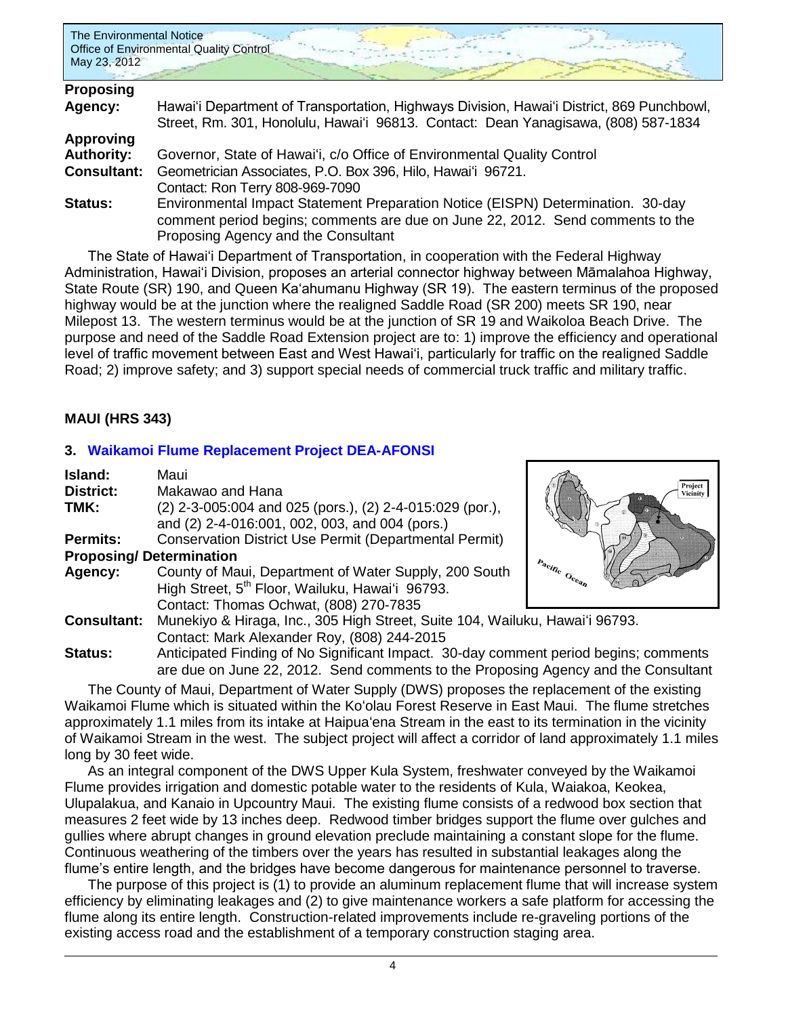

| Proposing          |                                                                                           |
|--------------------|-------------------------------------------------------------------------------------------|
| Agency:            | Hawai'i Department of Transportation, Highways Division, Hawai'i District, 869 Punchbowl, |
|                    | Street, Rm. 301, Honolulu, Hawai'i 96813. Contact: Dean Yanagisawa, (808) 587-1834        |
| <b>Approving</b>   |                                                                                           |
| <b>Authority:</b>  | Governor, State of Hawai'i, c/o Office of Environmental Quality Control                   |
| <b>Consultant:</b> | Geometrician Associates, P.O. Box 396, Hilo, Hawai'i 96721.                               |
|                    | Contact: Ron Terry 808-969-7090                                                           |
| <b>Status:</b>     | Environmental Impact Statement Preparation Notice (EISPN) Determination. 30-day           |
|                    | comment period begins; comments are due on June 22, 2012. Send comments to the            |
|                    | Proposing Agency and the Consultant                                                       |

The State of Hawai'i Department of Transportation, in cooperation with the Federal Highway Administration, Hawai'i Division, proposes an arterial connector highway between Māmalahoa Highway, State Route (SR) 190, and Queen Ka'ahumanu Highway (SR 19). The eastern terminus of the proposed highway would be at the junction where the realigned Saddle Road (SR 200) meets SR 190, near Milepost 13. The western terminus would be at the junction of SR 19 and Waikoloa Beach Drive. The purpose and need of the Saddle Road Extension project are to: 1) improve the efficiency and operational level of traffic movement between East and West Hawai'i, particularly for traffic on the realigned Saddle Road; 2) improve safety; and 3) support special needs of commercial truck traffic and military traffic.

# **MAUI (HRS 343)**

# **3. [Waikamoi Flume Replacement Project](http://oeqc.doh.hawaii.gov/Shared%20Documents/EA_and_EIS_Online_Library/Maui/2010s/2012-05-23-DEA-Waikamoi-Flume-Replacement.pdf) DEA-AFONSI**

| Island:                        | Maui                                                                                                                                                                        |                     |
|--------------------------------|-----------------------------------------------------------------------------------------------------------------------------------------------------------------------------|---------------------|
| <b>District:</b>               | Makawao and Hana                                                                                                                                                            | Project<br>Vicinity |
| TMK:                           | (2) 2-3-005:004 and 025 (pors.), (2) 2-4-015:029 (por.),<br>and (2) 2-4-016:001, 002, 003, and 004 (pors.)                                                                  |                     |
| <b>Permits:</b>                | Conservation District Use Permit (Departmental Permit)                                                                                                                      |                     |
| <b>Proposing/Determination</b> |                                                                                                                                                                             |                     |
| Agency:                        | County of Maui, Department of Water Supply, 200 South<br>High Street, 5 <sup>th</sup> Floor, Wailuku, Hawai'i 96793.<br>Contact: Thomas Ochwat, (808) 270-7835              | Pacific Ocean       |
| <b>Consultant:</b>             | Munekiyo & Hiraga, Inc., 305 High Street, Suite 104, Wailuku, Hawai'i 96793.                                                                                                |                     |
|                                | Contact: Mark Alexander Roy, (808) 244-2015                                                                                                                                 |                     |
| Status:                        | Anticipated Finding of No Significant Impact. 30-day comment period begins; comments<br>are due an lune 00,0040. Cand comments to the Drepesian Agency cand the Concultor's |                     |

are due on June 22, 2012. Send comments to the Proposing Agency and the Consultant The County of Maui, Department of Water Supply (DWS) proposes the replacement of the existing Waikamoi Flume which is situated within the Koʻolau Forest Reserve in East Maui. The flume stretches approximately 1.1 miles from its intake at Haipuaʻena Stream in the east to its termination in the vicinity of Waikamoi Stream in the west. The subject project will affect a corridor of land approximately 1.1 miles long by 30 feet wide.

As an integral component of the DWS Upper Kula System, freshwater conveyed by the Waikamoi Flume provides irrigation and domestic potable water to the residents of Kula, Waiakoa, Keokea, Ulupalakua, and Kanaio in Upcountry Maui. The existing flume consists of a redwood box section that measures 2 feet wide by 13 inches deep. Redwood timber bridges support the flume over gulches and gullies where abrupt changes in ground elevation preclude maintaining a constant slope for the flume. Continuous weathering of the timbers over the years has resulted in substantial leakages along the flume's entire length, and the bridges have become dangerous for maintenance personnel to traverse.

The purpose of this project is (1) to provide an aluminum replacement flume that will increase system efficiency by eliminating leakages and (2) to give maintenance workers a safe platform for accessing the flume along its entire length. Construction-related improvements include re-graveling portions of the existing access road and the establishment of a temporary construction staging area.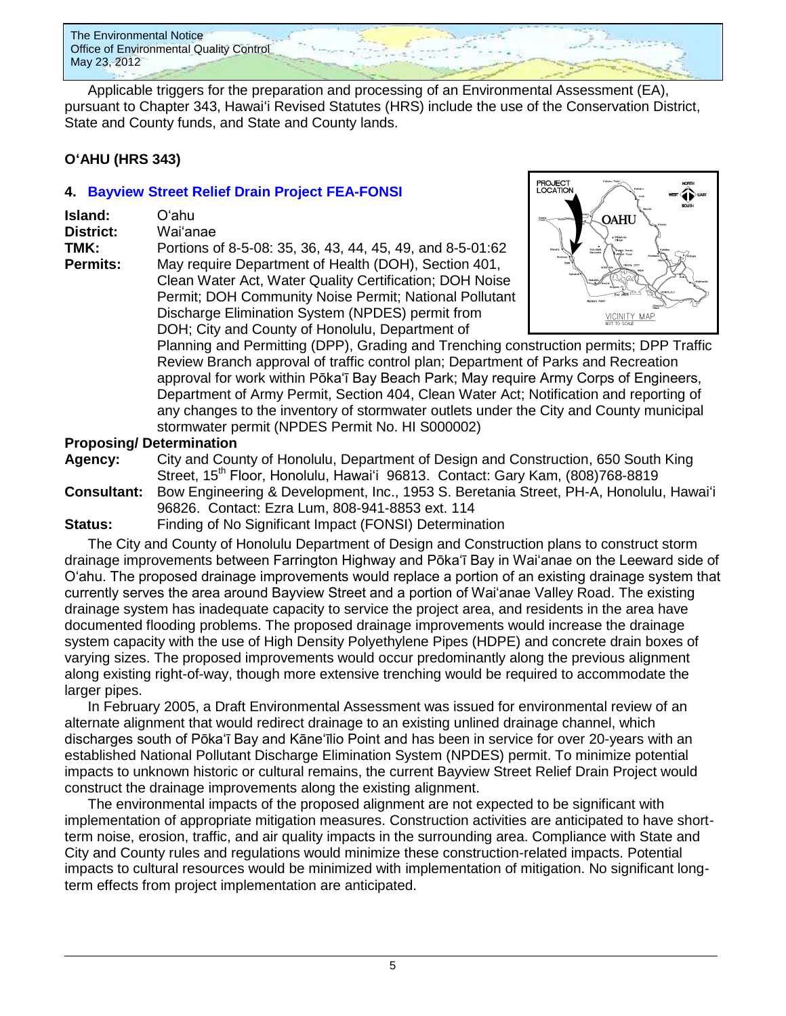

Applicable triggers for the preparation and processing of an Environmental Assessment (EA), pursuant to Chapter 343, Hawaiʻi Revised Statutes (HRS) include the use of the Conservation District, State and County funds, and State and County lands.

### **OʻAHU (HRS 343)**

# **4. [Bayview Street Relief Drain Project](http://oeqc.doh.hawaii.gov/Shared%20Documents/EA_and_EIS_Online_Library/Oahu/2010s/2012-05-23-FEA-Bayview-Street-Relief-Drain-Project.pdf) FEA-FONSI**

| <b>Island:</b>   | Oʻahu.                                                    |
|------------------|-----------------------------------------------------------|
| <b>District:</b> | Wai'anae                                                  |
| TMK:             | Portions of 8-5-08: 35, 36, 43, 44, 45, 49, and 8-5-01:62 |
| <b>Permits:</b>  | May require Department of Health (DOH), Section 401,      |
|                  | Clean Water Act, Water Quality Certification; DOH Noise   |
|                  |                                                           |

**Realth (DOH), Section 401, Section 401,** Quality Certification; DOH Noise Permit; DOH Community Noise Permit; National Pollutant Discharge Elimination System (NPDES) permit from DOH; City and County of Honolulu, Department of



Planning and Permitting (DPP), Grading and Trenching construction permits; DPP Traffic Review Branch approval of traffic control plan; Department of Parks and Recreation approval for work within Pōka'ī Bay Beach Park; May require Army Corps of Engineers, Department of Army Permit, Section 404, Clean Water Act; Notification and reporting of any changes to the inventory of stormwater outlets under the City and County municipal stormwater permit (NPDES Permit No. HI S000002)

### **Proposing/ Determination**

**Agency:** City and County of Honolulu, Department of Design and Construction, 650 South King Street, 15th Floor, Honolulu, Hawai'i 96813. Contact: Gary Kam, (808)768-8819 **Consultant:** Bow Engineering & Development, Inc., 1953 S. Beretania Street, PH-A, Honolulu, Hawaiʻi 96826. Contact: Ezra Lum, 808-941-8853 ext. 114

**Status:** Finding of No Significant Impact (FONSI) Determination

The City and County of Honolulu Department of Design and Construction plans to construct storm drainage improvements between Farrington Highway and Pōka'ī Bay in Wai'anae on the Leeward side of O'ahu. The proposed drainage improvements would replace a portion of an existing drainage system that currently serves the area around Bayview Street and a portion of Wai'anae Valley Road. The existing drainage system has inadequate capacity to service the project area, and residents in the area have documented flooding problems. The proposed drainage improvements would increase the drainage system capacity with the use of High Density Polyethylene Pipes (HDPE) and concrete drain boxes of varying sizes. The proposed improvements would occur predominantly along the previous alignment along existing right-of-way, though more extensive trenching would be required to accommodate the larger pipes.

In February 2005, a Draft Environmental Assessment was issued for environmental review of an alternate alignment that would redirect drainage to an existing unlined drainage channel, which discharges south of Pōka'ī Bay and Kāne'īlio Point and has been in service for over 20-years with an established National Pollutant Discharge Elimination System (NPDES) permit. To minimize potential impacts to unknown historic or cultural remains, the current Bayview Street Relief Drain Project would construct the drainage improvements along the existing alignment.

The environmental impacts of the proposed alignment are not expected to be significant with implementation of appropriate mitigation measures. Construction activities are anticipated to have shortterm noise, erosion, traffic, and air quality impacts in the surrounding area. Compliance with State and City and County rules and regulations would minimize these construction-related impacts. Potential impacts to cultural resources would be minimized with implementation of mitigation. No significant longterm effects from project implementation are anticipated.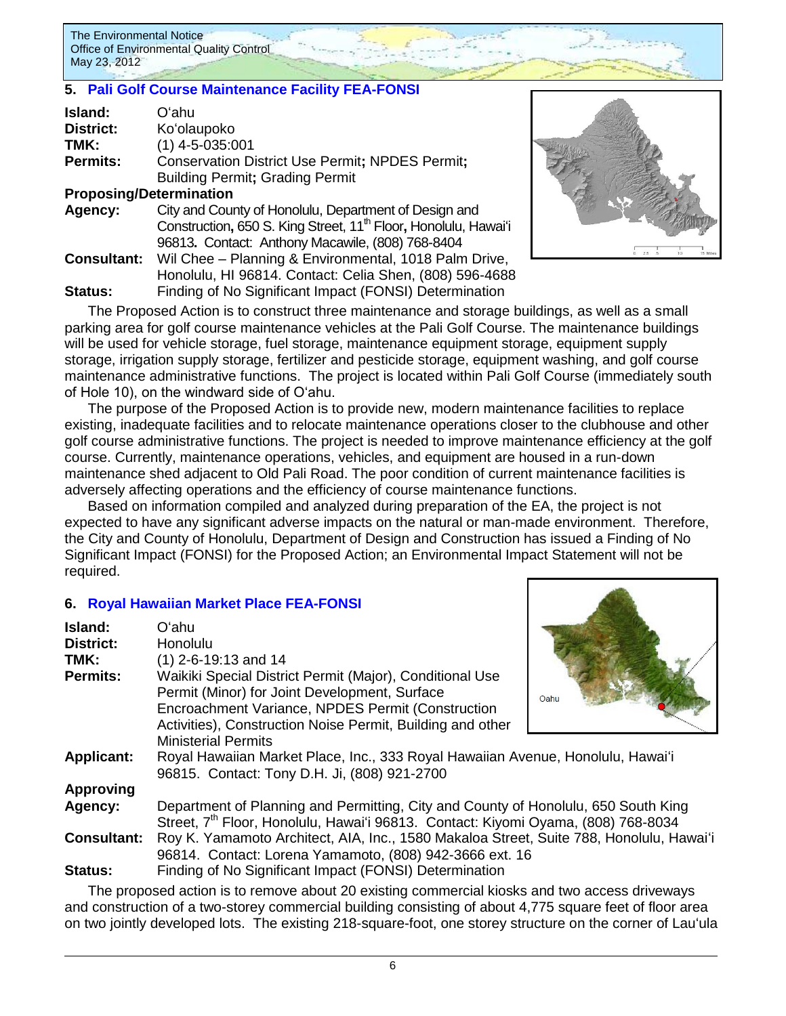### **5. [Pali Golf Course Maintenance Facility](http://oeqc.doh.hawaii.gov/Shared%20Documents/EA_and_EIS_Online_Library/Oahu/2010s/2012-05-23-FEA-Pali-Golf-Course-Maintenance-Facility.pdf) FEA-FONSI**

| Island:         | Oʻahu                                                                       |
|-----------------|-----------------------------------------------------------------------------|
| District:       | Ko'olaupoko                                                                 |
| TMK:            | $(1)$ 4-5-035:001                                                           |
| <b>Permits:</b> | <b>Conservation District Use Permit; NPDES Permit;</b>                      |
|                 | <b>Building Permit; Grading Permit</b>                                      |
|                 | <b>Proposing/Determination</b>                                              |
| Agency:         | City and County of Honolulu, Department of Design and                       |
|                 | Construction, 650 S. King Street, 11 <sup>th</sup> Floor, Honolulu, Hawai'i |

96813**.** Contact: Anthony Macawile, (808) 768-8404 **Consultant:** Wil Chee – Planning & Environmental, 1018 Palm Drive, Honolulu, HI 96814. Contact: Celia Shen, (808) 596-4688 **Status:** Finding of No Significant Impact (FONSI) Determination



The Proposed Action is to construct three maintenance and storage buildings, as well as a small parking area for golf course maintenance vehicles at the Pali Golf Course. The maintenance buildings will be used for vehicle storage, fuel storage, maintenance equipment storage, equipment supply storage, irrigation supply storage, fertilizer and pesticide storage, equipment washing, and golf course maintenance administrative functions. The project is located within Pali Golf Course (immediately south of Hole 10), on the windward side of O'ahu.

The purpose of the Proposed Action is to provide new, modern maintenance facilities to replace existing, inadequate facilities and to relocate maintenance operations closer to the clubhouse and other golf course administrative functions. The project is needed to improve maintenance efficiency at the golf course. Currently, maintenance operations, vehicles, and equipment are housed in a run-down maintenance shed adjacent to Old Pali Road. The poor condition of current maintenance facilities is adversely affecting operations and the efficiency of course maintenance functions.

Based on information compiled and analyzed during preparation of the EA, the project is not expected to have any significant adverse impacts on the natural or man-made environment. Therefore, the City and County of Honolulu, Department of Design and Construction has issued a Finding of No Significant Impact (FONSI) for the Proposed Action; an Environmental Impact Statement will not be required.

# **6. [Royal Hawaiian Market Place FEA-FONSI](http://oeqc.doh.hawaii.gov/Shared%20Documents/EA_and_EIS_Online_Library/Oahu/2010s/2012-05-23-Royal-Hawaiian-Market-Place.pdf)**

| Island:            | O'ahu                                                                                         |      |
|--------------------|-----------------------------------------------------------------------------------------------|------|
| <b>District:</b>   | Honolulu                                                                                      |      |
| TMK:               | $(1)$ 2-6-19:13 and 14                                                                        |      |
| <b>Permits:</b>    | Waikiki Special District Permit (Major), Conditional Use                                      |      |
|                    | Permit (Minor) for Joint Development, Surface                                                 | Oahu |
|                    | Encroachment Variance, NPDES Permit (Construction                                             |      |
|                    | Activities), Construction Noise Permit, Building and other                                    |      |
|                    | <b>Ministerial Permits</b>                                                                    |      |
| <b>Applicant:</b>  | Royal Hawaiian Market Place, Inc., 333 Royal Hawaiian Avenue, Honolulu, Hawai'i               |      |
|                    | 96815. Contact: Tony D.H. Ji, (808) 921-2700                                                  |      |
| <b>Approving</b>   |                                                                                               |      |
| Agency:            | Department of Planning and Permitting, City and County of Honolulu, 650 South King            |      |
|                    | Street, 7 <sup>th</sup> Floor, Honolulu, Hawai'i 96813. Contact: Kiyomi Oyama, (808) 768-8034 |      |
| <b>Consultant:</b> | Roy K. Yamamoto Architect, AIA, Inc., 1580 Makaloa Street, Suite 788, Honolulu, Hawai'i       |      |
|                    | 96814. Contact: Lorena Yamamoto, (808) 942-3666 ext. 16                                       |      |
| Status:            | Finding of No Significant Impact (FONSI) Determination                                        |      |

The proposed action is to remove about 20 existing commercial kiosks and two access driveways and construction of a two-storey commercial building consisting of about 4,775 square feet of floor area on two jointly developed lots. The existing 218-square-foot, one storey structure on the corner of Lauʻula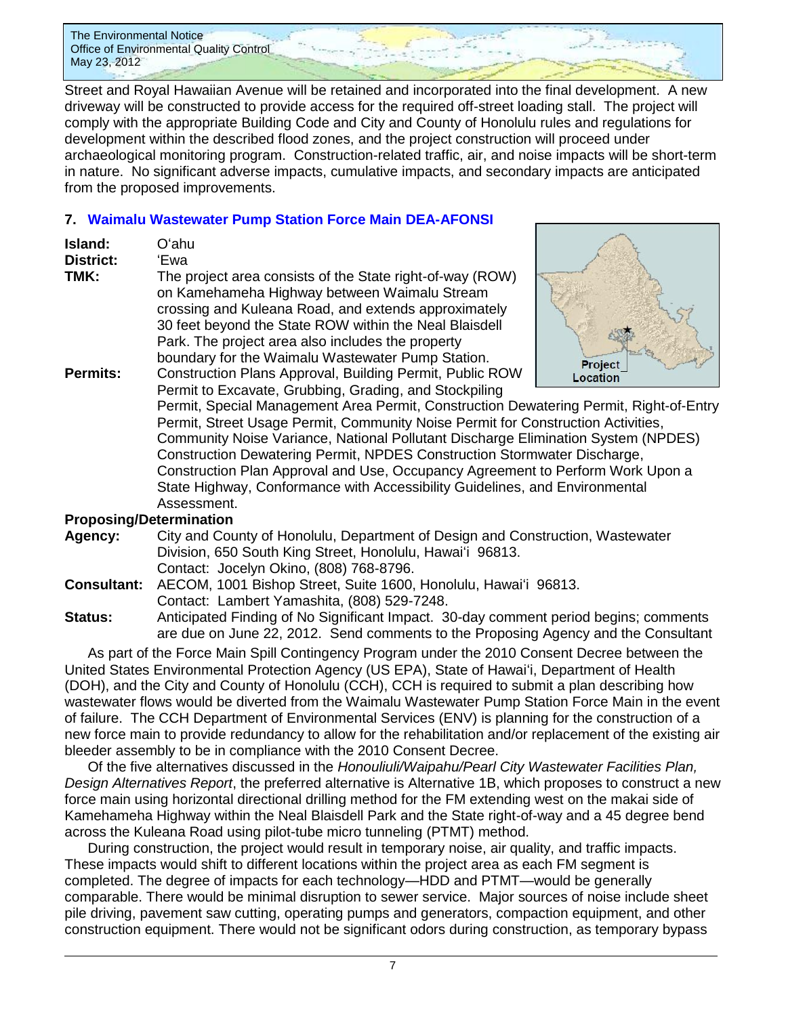Street and Royal Hawaiian Avenue will be retained and incorporated into the final development. A new driveway will be constructed to provide access for the required off-street loading stall. The project will comply with the appropriate Building Code and City and County of Honolulu rules and regulations for development within the described flood zones, and the project construction will proceed under archaeological monitoring program. Construction-related traffic, air, and noise impacts will be short-term in nature. No significant adverse impacts, cumulative impacts, and secondary impacts are anticipated from the proposed improvements.

# **7. [Waimalu Wastewater Pump Station Force Main DEA-AFONSI](http://oeqc.doh.hawaii.gov/Shared%20Documents/EA_and_EIS_Online_Library/Oahu/2010s/2012-05-23-DEA-Waimalu-Wastewater-Pump-Station.pdf)**

| Oʻahu                                                                                                          |                                                                                                                                                                                                                                                   |
|----------------------------------------------------------------------------------------------------------------|---------------------------------------------------------------------------------------------------------------------------------------------------------------------------------------------------------------------------------------------------|
| The project area consists of the State right-of-way (ROW)<br>on Kamehameha Highway between Waimalu Stream      |                                                                                                                                                                                                                                                   |
| crossing and Kuleana Road, and extends approximately<br>30 feet beyond the State ROW within the Neal Blaisdell |                                                                                                                                                                                                                                                   |
| boundary for the Waimalu Wastewater Pump Station.                                                              |                                                                                                                                                                                                                                                   |
| Permit to Excavate, Grubbing, Grading, and Stockpiling                                                         |                                                                                                                                                                                                                                                   |
|                                                                                                                | 'Ewa<br>Park. The project area also includes the property<br>Construction Plans Approval, Building Permit, Public ROW<br>Permit, Special Management Area Permit, Construction Dewa<br>Permit, Street Heane Permit, Community Noise Permit for Co. |



atering Permit, Right-of-Entry nt, Community Noise Permit for Construction Activities, Community Noise Variance, National Pollutant Discharge Elimination System (NPDES) Construction Dewatering Permit, NPDES Construction Stormwater Discharge, Construction Plan Approval and Use, Occupancy Agreement to Perform Work Upon a State Highway, Conformance with Accessibility Guidelines, and Environmental Assessment.

# **Proposing/Determination**

- **Agency:** City and County of Honolulu, Department of Design and Construction, Wastewater Division, 650 South King Street, Honolulu, Hawaiʻi 96813. Contact: Jocelyn Okino, (808) 768-8796.
- **Consultant:** AECOM, 1001 Bishop Street, Suite 1600, Honolulu, Hawaiʻi 96813. Contact: Lambert Yamashita, (808) 529-7248.

### **Status:** Anticipated Finding of No Significant Impact. 30-day comment period begins; comments are due on June 22, 2012. Send comments to the Proposing Agency and the Consultant

As part of the Force Main Spill Contingency Program under the 2010 Consent Decree between the United States Environmental Protection Agency (US EPA), State of Hawaiʻi, Department of Health (DOH), and the City and County of Honolulu (CCH), CCH is required to submit a plan describing how wastewater flows would be diverted from the Waimalu Wastewater Pump Station Force Main in the event of failure. The CCH Department of Environmental Services (ENV) is planning for the construction of a new force main to provide redundancy to allow for the rehabilitation and/or replacement of the existing air bleeder assembly to be in compliance with the 2010 Consent Decree.

Of the five alternatives discussed in the *Honouliuli/Waipahu/Pearl City Wastewater Facilities Plan, Design Alternatives Report*, the preferred alternative is Alternative 1B, which proposes to construct a new force main using horizontal directional drilling method for the FM extending west on the makai side of Kamehameha Highway within the Neal Blaisdell Park and the State right-of-way and a 45 degree bend across the Kuleana Road using pilot-tube micro tunneling (PTMT) method.

During construction, the project would result in temporary noise, air quality, and traffic impacts. These impacts would shift to different locations within the project area as each FM segment is completed. The degree of impacts for each technology—HDD and PTMT—would be generally comparable. There would be minimal disruption to sewer service. Major sources of noise include sheet pile driving, pavement saw cutting, operating pumps and generators, compaction equipment, and other construction equipment. There would not be significant odors during construction, as temporary bypass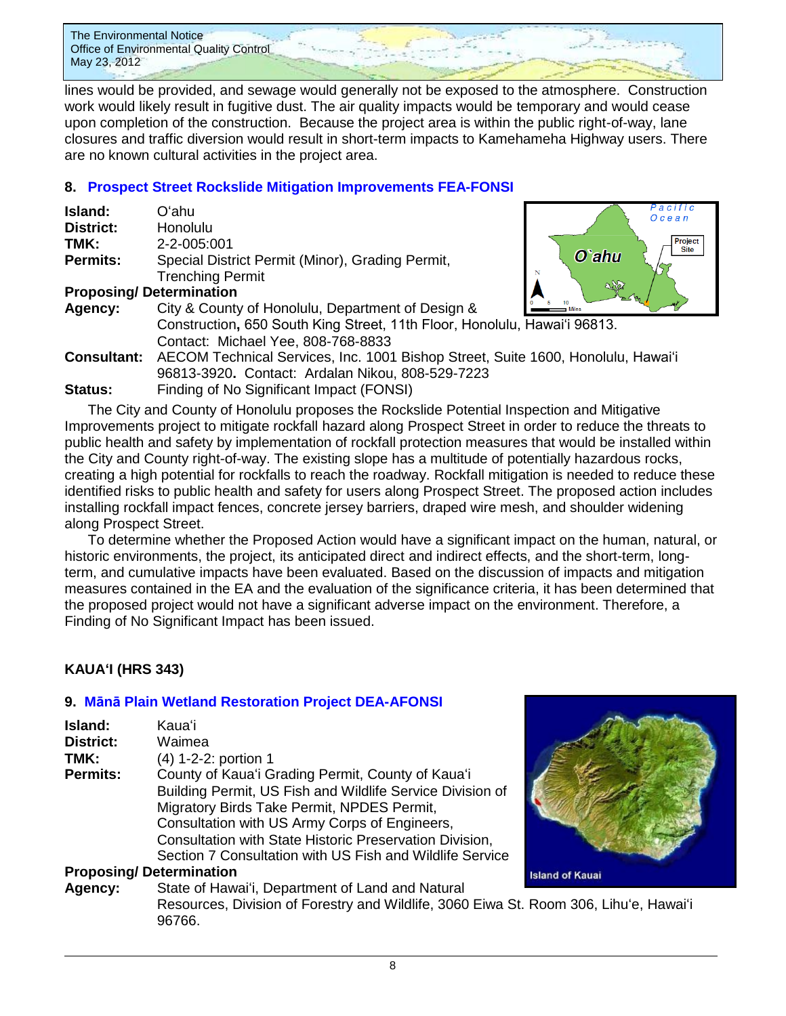lines would be provided, and sewage would generally not be exposed to the atmosphere. Construction work would likely result in fugitive dust. The air quality impacts would be temporary and would cease upon completion of the construction. Because the project area is within the public right-of-way, lane closures and traffic diversion would result in short-term impacts to Kamehameha Highway users. There are no known cultural activities in the project area.

# **8. Prospect Street Rockslide Mitigation [Improvements FEA-FONSI](http://oeqc.doh.hawaii.gov/Shared%20Documents/EA_and_EIS_Online_Library/Oahu/2010s/2012-05-23-FEA-Prospect-Street-Rock-Slide-Inspection-Mitigation-Improvements.pdf)**

| Island:          | Oʻahu                                              |
|------------------|----------------------------------------------------|
| <b>District:</b> | Honolulu                                           |
| TMK:             | 2-2-005:001                                        |
| <b>Permits:</b>  | Special District Permit (Minor), Grading Permit,   |
|                  | <b>Trenching Permit</b>                            |
|                  | <b>Proposing/Determination</b>                     |
| Agency:          | City & County of Honolulu, Department of Design    |
|                  | Construction, 650 South King Street, 11th Floor, H |



| Agency: | $\frac{0}{1}$ b $\frac{10}{10}$ Miles<br>يعسر<br>City & County of Honolulu, Department of Design &  |
|---------|-----------------------------------------------------------------------------------------------------|
|         | Construction, 650 South King Street, 11th Floor, Honolulu, Hawai'i 96813.                           |
|         | Contact: Michael Yee, 808-768-8833                                                                  |
|         | <b>Consultant:</b> AECOM Technical Services, Inc. 1001 Bishop Street, Suite 1600, Honolulu, Hawai'i |
|         | 96813-3920. Contact: Ardalan Nikou, 808-529-7223                                                    |
| Status: | Finding of No Significant Impact (FONSI)                                                            |

The City and County of Honolulu proposes the Rockslide Potential Inspection and Mitigative Improvements project to mitigate rockfall hazard along Prospect Street in order to reduce the threats to public health and safety by implementation of rockfall protection measures that would be installed within the City and County right-of-way. The existing slope has a multitude of potentially hazardous rocks, creating a high potential for rockfalls to reach the roadway. Rockfall mitigation is needed to reduce these identified risks to public health and safety for users along Prospect Street. The proposed action includes installing rockfall impact fences, concrete jersey barriers, draped wire mesh, and shoulder widening

along Prospect Street. To determine whether the Proposed Action would have a significant impact on the human, natural, or historic environments, the project, its anticipated direct and indirect effects, and the short-term, longterm, and cumulative impacts have been evaluated. Based on the discussion of impacts and mitigation measures contained in the EA and the evaluation of the significance criteria, it has been determined that the proposed project would not have a significant adverse impact on the environment. Therefore, a Finding of No Significant Impact has been issued.

# **KAUAʻI (HRS 343)**

# **9. Mānā [Plain Wetland Restoration Project](http://oeqc.doh.hawaii.gov/Shared%20Documents/EA_and_EIS_Online_Library/Kauai/2010s/2012-05-23-DEA-Mana-Plain-Wetland-Restoration.pdf) DEA-AFONSI**

| Island:         | <b>Kaua</b> 'i                                            |
|-----------------|-----------------------------------------------------------|
| District:       | Waimea                                                    |
| TMK:            | (4) 1-2-2: portion 1                                      |
| <b>Permits:</b> | County of Kaua'i Grading Permit, County of Kaua'i         |
|                 | Building Permit, US Fish and Wildlife Service Division of |
|                 | Migratory Birds Take Permit, NPDES Permit,                |
|                 | Consultation with US Army Corps of Engineers,             |
|                 | Consultation with State Historic Preservation Division,   |
|                 | Section 7 Consultation with US Fish and Wildlife Service  |
|                 | <b>Proposing/Determination</b>                            |

# **Island of Kauai**

### **Agency:** State of Hawaiʻi, Department of Land and Natural Resources, Division of Forestry and Wildlife, 3060 Eiwa St. Room 306, Lihuʻe, Hawaiʻi 96766.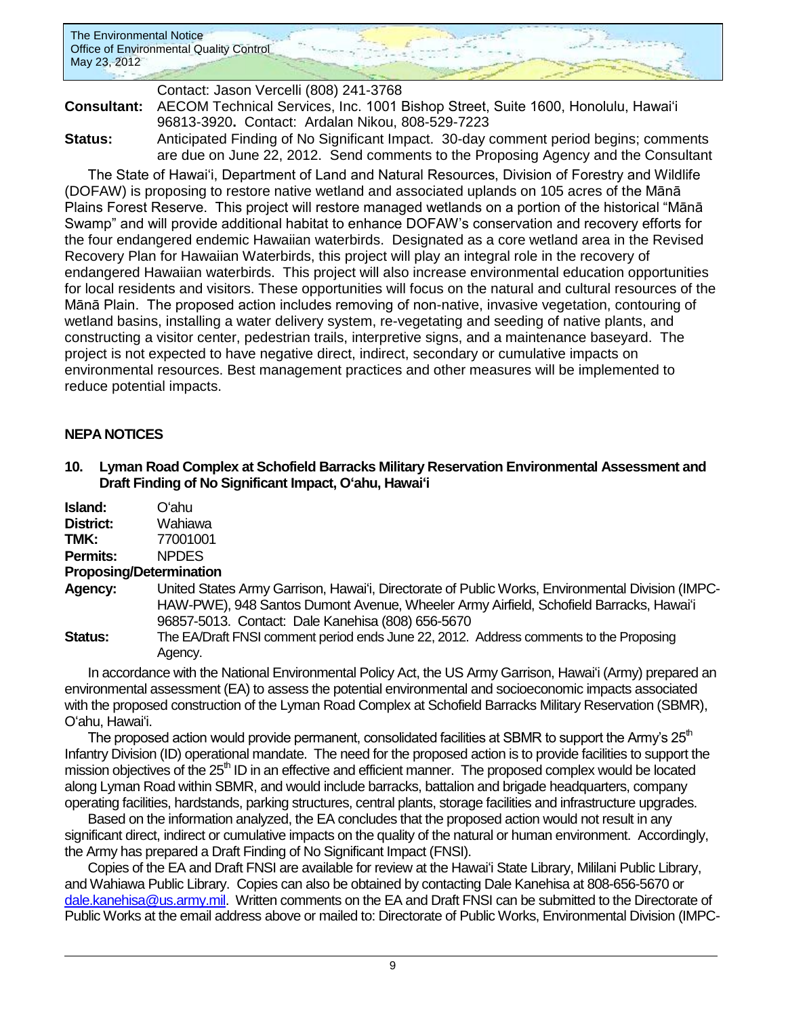

### Contact: Jason Vercelli (808) 241-3768 **Consultant:** AECOM Technical Services, Inc. 1001 Bishop Street, Suite 1600, Honolulu, Hawai'i 96813-3920**.** Contact: Ardalan Nikou, 808-529-7223 **Status:** Anticipated Finding of No Significant Impact. 30-day comment period begins; comments are due on June 22, 2012. Send comments to the Proposing Agency and the Consultant

The State of Hawai'i, Department of Land and Natural Resources, Division of Forestry and Wildlife (DOFAW) is proposing to restore native wetland and associated uplands on 105 acres of the Mānā Plains Forest Reserve. This project will restore managed wetlands on a portion of the historical "Mānā Swamp" and will provide additional habitat to enhance DOFAW's conservation and recovery efforts for the four endangered endemic Hawaiian waterbirds. Designated as a core wetland area in the Revised Recovery Plan for Hawaiian Waterbirds, this project will play an integral role in the recovery of endangered Hawaiian waterbirds. This project will also increase environmental education opportunities for local residents and visitors. These opportunities will focus on the natural and cultural resources of the Mānā Plain. The proposed action includes removing of non-native, invasive vegetation, contouring of wetland basins, installing a water delivery system, re-vegetating and seeding of native plants, and constructing a visitor center, pedestrian trails, interpretive signs, and a maintenance baseyard. The project is not expected to have negative direct, indirect, secondary or cumulative impacts on environmental resources. Best management practices and other measures will be implemented to reduce potential impacts.

# **NEPA NOTICES**

### **10. Lyman Road Complex at Schofield Barracks Military Reservation Environmental Assessment and Draft Finding of No Significant Impact, Oʻahu, Hawaiʻi**

| Island:         | Oʻahu        |
|-----------------|--------------|
| District:       | Wahiawa      |
| TMK:            | 77001001     |
| <b>Permits:</b> | <b>NPDES</b> |

### **Proposing/Determination**

- **Agency:** United States Army Garrison, Hawaiʻi, Directorate of Public Works, Environmental Division (IMPC-HAW-PWE), 948 Santos Dumont Avenue, Wheeler Army Airfield, Schofield Barracks, Hawaiʻi 96857-5013. Contact: Dale Kanehisa (808) 656-5670
- **Status:** The EA/Draft FNSI comment period ends June 22, 2012. Address comments to the Proposing Agency.

In accordance with the National Environmental Policy Act, the US Army Garrison, Hawaiʻi (Army) prepared an environmental assessment (EA) to assess the potential environmental and socioeconomic impacts associated with the proposed construction of the Lyman Road Complex at Schofield Barracks Military Reservation (SBMR), Oʻahu, Hawaiʻi.

The proposed action would provide permanent, consolidated facilities at SBMR to support the Army's 25 $\mathrm{^{m}}$ Infantry Division (ID) operational mandate. The need for the proposed action is to provide facilities to support the mission objectives of the 25<sup>th</sup> ID in an effective and efficient manner. The proposed complex would be located along Lyman Road within SBMR, and would include barracks, battalion and brigade headquarters, company operating facilities, hardstands, parking structures, central plants, storage facilities and infrastructure upgrades.

Based on the information analyzed, the EA concludes that the proposed action would not result in any significant direct, indirect or cumulative impacts on the quality of the natural or human environment. Accordingly, the Army has prepared a Draft Finding of No Significant Impact (FNSI).

Copies of the EA and Draft FNSI are available for review at the Hawaiʻi State Library, Mililani Public Library, and Wahiawa Public Library. Copies can also be obtained by contacting Dale Kanehisa at 808-656-5670 or [dale.kanehisa@us.army.mil.](mailto:dale.kanehisa@us.army.mil) Written comments on the EA and Draft FNSI can be submitted to the Directorate of Public Works at the email address above or mailed to: Directorate of Public Works, Environmental Division (IMPC-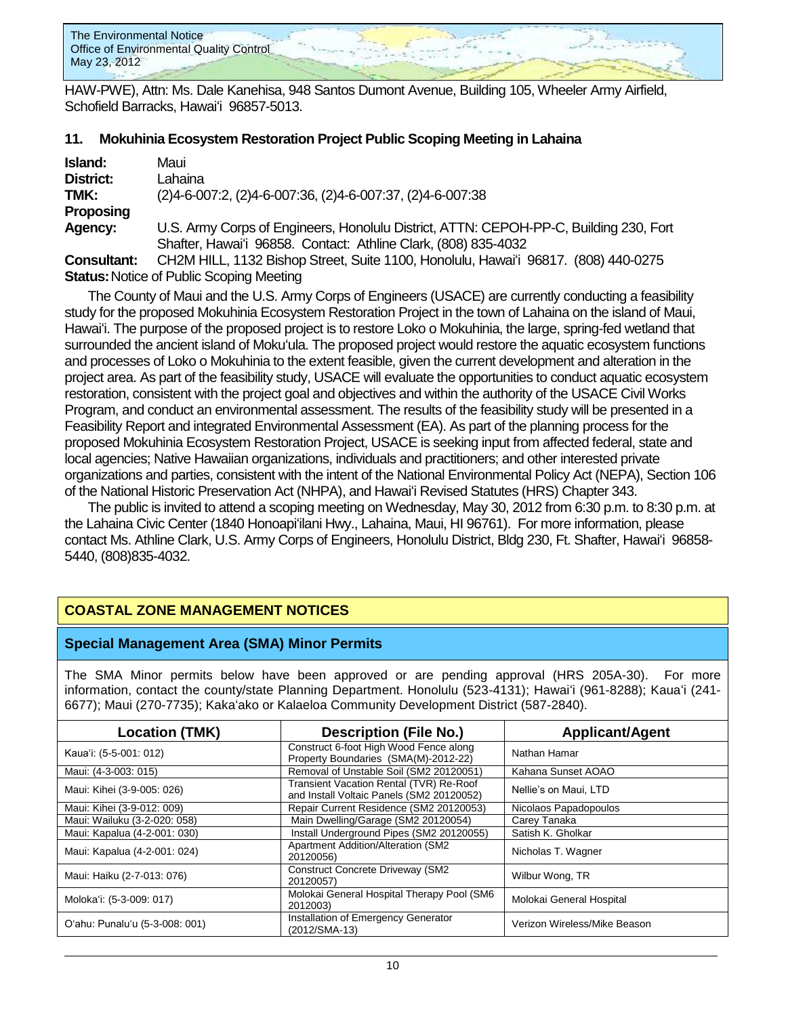

HAW-PWE), Attn: Ms. Dale Kanehisa, 948 Santos Dumont Avenue, Building 105, Wheeler Army Airfield, Schofield Barracks, Hawaiʻi 96857-5013.

### **11. Mokuhinia Ecosystem Restoration Project Public Scoping Meeting in Lahaina**

| Island:     | Maui                                                                                      |
|-------------|-------------------------------------------------------------------------------------------|
| District:   | Lahaina                                                                                   |
| TMK:        | $(2)4 - 6 - 007$ : 2, $(2)4 - 6 - 007$ : 36, $(2)4 - 6 - 007$ : 37, $(2)4 - 6 - 007$ : 38 |
| Proposing   |                                                                                           |
| Agency:     | U.S. Army Corps of Engineers, Honolulu District, ATTN: CEPOH-PP-C, Building 230, Fort     |
|             | Shafter, Hawai'i 96858. Contact: Athline Clark, (808) 835-4032                            |
| Consultant: | CH2M HILL, 1132 Bishop Street, Suite 1100, Honolulu, Hawai'i 96817. (808) 440-0275        |
|             |                                                                                           |

**Status:** Notice of Public Scoping Meeting

The County of Maui and the U.S. Army Corps of Engineers (USACE) are currently conducting a feasibility study for the proposed Mokuhinia Ecosystem Restoration Project in the town of Lahaina on the island of Maui, Hawaiʻi. The purpose of the proposed project is to restore Loko o Mokuhinia, the large, spring-fed wetland that surrounded the ancient island of Mokuʻula. The proposed project would restore the aquatic ecosystem functions and processes of Loko o Mokuhinia to the extent feasible, given the current development and alteration in the project area. As part of the feasibility study, USACE will evaluate the opportunities to conduct aquatic ecosystem restoration, consistent with the project goal and objectives and within the authority of the USACE Civil Works Program, and conduct an environmental assessment. The results of the feasibility study will be presented in a Feasibility Report and integrated Environmental Assessment (EA). As part of the planning process for the proposed Mokuhinia Ecosystem Restoration Project, USACE is seeking input from affected federal, state and local agencies; Native Hawaiian organizations, individuals and practitioners; and other interested private organizations and parties, consistent with the intent of the National Environmental Policy Act (NEPA), Section 106 of the National Historic Preservation Act (NHPA), and Hawaiʻi Revised Statutes (HRS) Chapter 343.

The public is invited to attend a scoping meeting on Wednesday, May 30, 2012 from 6:30 p.m. to 8:30 p.m. at the Lahaina Civic Center (1840 Honoapiʻilani Hwy., Lahaina, Maui, HI 96761). For more information, please contact Ms. Athline Clark, U.S. Army Corps of Engineers, Honolulu District, Bldg 230, Ft. Shafter, Hawaiʻi 96858- 5440, (808)835-4032.

# **COASTAL ZONE MANAGEMENT NOTICES**

### **Special Management Area (SMA) Minor Permits**

The SMA Minor permits below have been approved or are pending approval (HRS 205A-30). For more information, contact the county/state Planning Department. Honolulu (523-4131); Hawaiʻi (961-8288); Kauaʻi (241- 6677); Maui (270-7735); Kakaʻako or Kalaeloa Community Development District (587-2840).

| <b>Location (TMK)</b>          | <b>Description (File No.)</b>                                                        | <b>Applicant/Agent</b>       |
|--------------------------------|--------------------------------------------------------------------------------------|------------------------------|
| Kaua'i: (5-5-001: 012)         | Construct 6-foot High Wood Fence along<br>Property Boundaries (SMA(M)-2012-22)       | Nathan Hamar                 |
| Maui: (4-3-003: 015)           | Removal of Unstable Soil (SM2 20120051)                                              | Kahana Sunset AOAO           |
| Maui: Kihei (3-9-005: 026)     | Transient Vacation Rental (TVR) Re-Roof<br>and Install Voltaic Panels (SM2 20120052) | Nellie's on Maui, LTD        |
| Maui: Kihei (3-9-012: 009)     | Repair Current Residence (SM2 20120053)                                              | Nicolaos Papadopoulos        |
| Maui: Wailuku (3-2-020: 058)   | Main Dwelling/Garage (SM2 20120054)                                                  | Carey Tanaka                 |
| Maui: Kapalua (4-2-001: 030)   | Install Underground Pipes (SM2 20120055)                                             | Satish K. Gholkar            |
| Maui: Kapalua (4-2-001: 024)   | <b>Apartment Addition/Alteration (SM2</b><br>20120056)                               | Nicholas T. Wagner           |
| Maui: Haiku (2-7-013: 076)     | <b>Construct Concrete Driveway (SM2</b><br>20120057)                                 | Wilbur Wong, TR              |
| Moloka'i: (5-3-009: 017)       | Molokai General Hospital Therapy Pool (SM6<br>2012003)                               | Molokai General Hospital     |
| O'ahu: Punalu'u (5-3-008: 001) | Installation of Emergency Generator<br>(2012/SMA-13)                                 | Verizon Wireless/Mike Beason |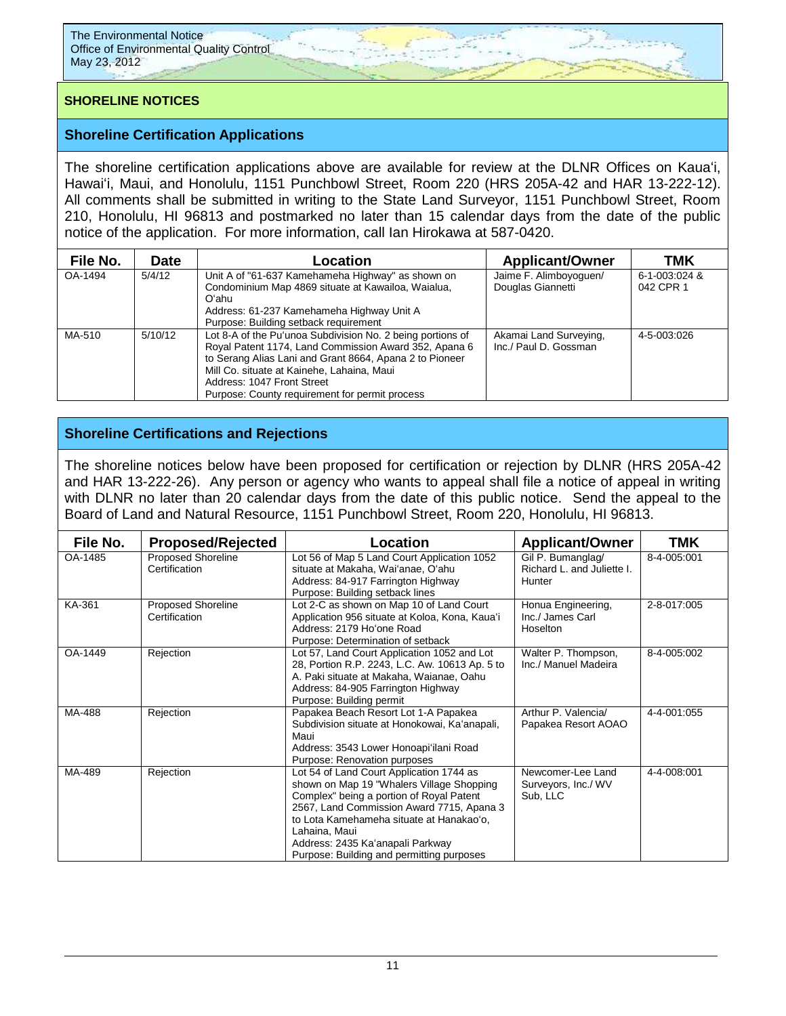# **SHORELINE NOTICES**

### **Shoreline Certification Applications**

The shoreline certification applications above are available for review at the DLNR Offices on Kauaʻi, Hawaiʻi, Maui, and Honolulu, 1151 Punchbowl Street, Room 220 (HRS 205A-42 and HAR 13-222-12). All comments shall be submitted in writing to the State Land Surveyor, 1151 Punchbowl Street, Room 210, Honolulu, HI 96813 and postmarked no later than 15 calendar days from the date of the public notice of the application. For more information, call Ian Hirokawa at 587-0420.

| File No. | <b>Date</b> | Location                                                                                                                                                                                                                                                                                                     | <b>Applicant/Owner</b>                          | TMK                        |
|----------|-------------|--------------------------------------------------------------------------------------------------------------------------------------------------------------------------------------------------------------------------------------------------------------------------------------------------------------|-------------------------------------------------|----------------------------|
| OA-1494  | 5/4/12      | Unit A of "61-637 Kamehameha Highway" as shown on<br>Condominium Map 4869 situate at Kawailoa, Waialua,<br>Oʻahu<br>Address: 61-237 Kamehameha Highway Unit A<br>Purpose: Building setback requirement                                                                                                       | Jaime F. Alimboyoguen/<br>Douglas Giannetti     | 6-1-003:024 &<br>042 CPR 1 |
| MA-510   | 5/10/12     | Lot 8-A of the Pu'unoa Subdivision No. 2 being portions of<br>Royal Patent 1174, Land Commission Award 352, Apana 6<br>to Serang Alias Lani and Grant 8664, Apana 2 to Pioneer<br>Mill Co. situate at Kainehe, Lahaina, Maui<br>Address: 1047 Front Street<br>Purpose: County requirement for permit process | Akamai Land Surveying,<br>Inc./ Paul D. Gossman | 4-5-003:026                |

# **Shoreline Certifications and Rejections**

The shoreline notices below have been proposed for certification or rejection by DLNR (HRS 205A-42 and HAR 13-222-26). Any person or agency who wants to appeal shall file a notice of appeal in writing with DLNR no later than 20 calendar days from the date of this public notice. Send the appeal to the Board of Land and Natural Resource, 1151 Punchbowl Street, Room 220, Honolulu, HI 96813.

| File No. | <b>Proposed/Rejected</b>                   | Location                                                                                                                                                                                                                                                                                                                     | <b>Applicant/Owner</b>                                    | TMK         |
|----------|--------------------------------------------|------------------------------------------------------------------------------------------------------------------------------------------------------------------------------------------------------------------------------------------------------------------------------------------------------------------------------|-----------------------------------------------------------|-------------|
| OA-1485  | <b>Proposed Shoreline</b><br>Certification | Lot 56 of Map 5 Land Court Application 1052<br>situate at Makaha, Wai'anae, O'ahu<br>Address: 84-917 Farrington Highway<br>Purpose: Building setback lines                                                                                                                                                                   | Gil P. Bumanglag/<br>Richard L. and Juliette I.<br>Hunter | 8-4-005:001 |
| KA-361   | <b>Proposed Shoreline</b><br>Certification | Lot 2-C as shown on Map 10 of Land Court<br>Application 956 situate at Koloa, Kona, Kaua'i<br>Address: 2179 Ho'one Road<br>Purpose: Determination of setback                                                                                                                                                                 | Honua Engineering,<br>Inc./ James Carl<br>Hoselton        | 2-8-017:005 |
| OA-1449  | Rejection                                  | Lot 57, Land Court Application 1052 and Lot<br>28, Portion R.P. 2243, L.C. Aw. 10613 Ap. 5 to<br>A. Paki situate at Makaha, Waianae, Oahu<br>Address: 84-905 Farrington Highway<br>Purpose: Building permit                                                                                                                  | Walter P. Thompson,<br>Inc./ Manuel Madeira               | 8-4-005:002 |
| MA-488   | Rejection                                  | Papakea Beach Resort Lot 1-A Papakea<br>Subdivision situate at Honokowai, Ka'anapali,<br>Maui<br>Address: 3543 Lower Honoapi'ilani Road<br>Purpose: Renovation purposes                                                                                                                                                      | Arthur P. Valencia/<br>Papakea Resort AOAO                | 4-4-001:055 |
| MA-489   | Rejection                                  | Lot 54 of Land Court Application 1744 as<br>shown on Map 19 "Whalers Village Shopping<br>Complex" being a portion of Royal Patent<br>2567, Land Commission Award 7715, Apana 3<br>to Lota Kamehameha situate at Hanakao'o,<br>Lahaina, Maui<br>Address: 2435 Ka'anapali Parkway<br>Purpose: Building and permitting purposes | Newcomer-Lee Land<br>Surveyors, Inc./ WV<br>Sub, LLC      | 4-4-008:001 |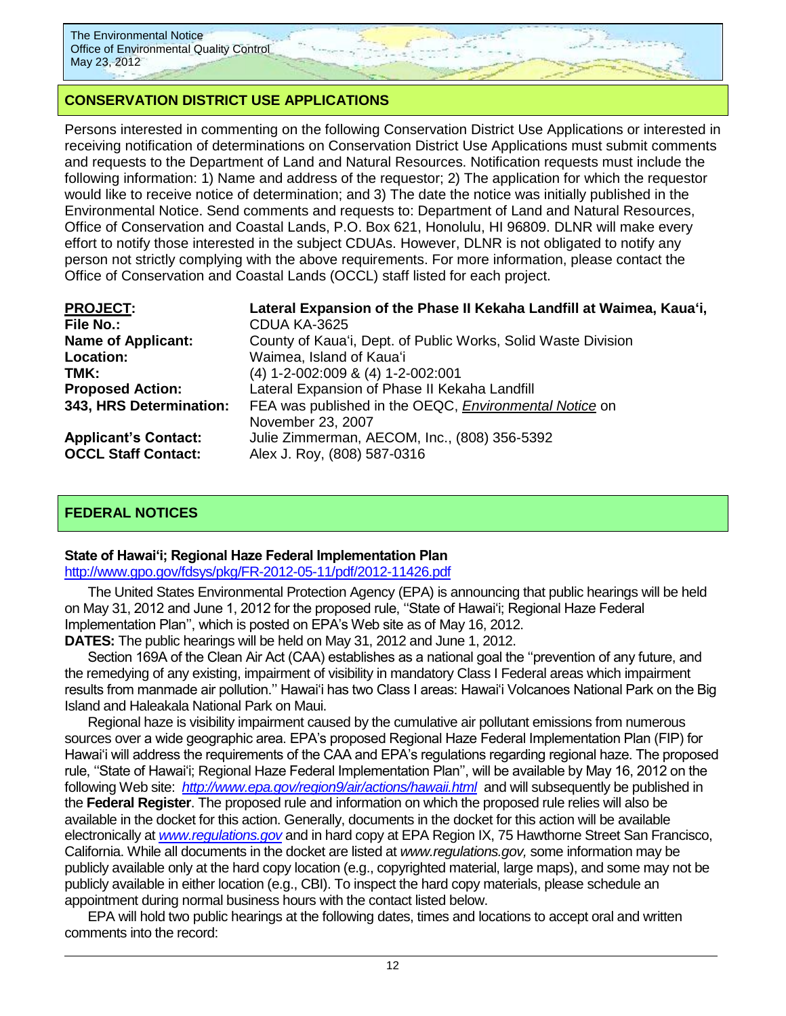# **CONSERVATION DISTRICT USE APPLICATIONS**

Persons interested in commenting on the following Conservation District Use Applications or interested in receiving notification of determinations on Conservation District Use Applications must submit comments and requests to the Department of Land and Natural Resources. Notification requests must include the following information: 1) Name and address of the requestor; 2) The application for which the requestor would like to receive notice of determination; and 3) The date the notice was initially published in the Environmental Notice. Send comments and requests to: Department of Land and Natural Resources, Office of Conservation and Coastal Lands, P.O. Box 621, Honolulu, HI 96809. DLNR will make every effort to notify those interested in the subject CDUAs. However, DLNR is not obligated to notify any person not strictly complying with the above requirements. For more information, please contact the Office of Conservation and Coastal Lands (OCCL) staff listed for each project.

| <b>PROJECT:</b>                                           | Lateral Expansion of the Phase II Kekaha Landfill at Waimea, Kaua'i,        |
|-----------------------------------------------------------|-----------------------------------------------------------------------------|
| <b>File No.:</b>                                          | CDUA KA-3625                                                                |
| <b>Name of Applicant:</b>                                 | County of Kaua'i, Dept. of Public Works, Solid Waste Division               |
| Location:                                                 | Waimea, Island of Kaua'i                                                    |
| TMK:                                                      | (4) 1-2-002:009 & (4) 1-2-002:001                                           |
| <b>Proposed Action:</b>                                   | Lateral Expansion of Phase II Kekaha Landfill                               |
| 343, HRS Determination:                                   | FEA was published in the OEQC, Environmental Notice on<br>November 23, 2007 |
| <b>Applicant's Contact:</b><br><b>OCCL Staff Contact:</b> | Julie Zimmerman, AECOM, Inc., (808) 356-5392<br>Alex J. Roy, (808) 587-0316 |

# **FEDERAL NOTICES**

### **State of Hawai'i; Regional Haze Federal Implementation Plan**

### <http://www.gpo.gov/fdsys/pkg/FR-2012-05-11/pdf/2012-11426.pdf>

The United States Environmental Protection Agency (EPA) is announcing that public hearings will be held on May 31, 2012 and June 1, 2012 for the proposed rule, ''State of Hawai'i; Regional Haze Federal Implementation Plan'', which is posted on EPA's Web site as of May 16, 2012.

**DATES:** The public hearings will be held on May 31, 2012 and June 1, 2012.

Section 169A of the Clean Air Act (CAA) establishes as a national goal the ''prevention of any future, and the remedying of any existing, impairment of visibility in mandatory Class I Federal areas which impairment results from manmade air pollution.'' Hawai'i has two Class I areas: Hawai'i Volcanoes National Park on the Big Island and Haleakala National Park on Maui.

Regional haze is visibility impairment caused by the cumulative air pollutant emissions from numerous sources over a wide geographic area. EPA's proposed Regional Haze Federal Implementation Plan (FIP) for Hawai'i will address the requirements of the CAA and EPA's regulations regarding regional haze. The proposed rule, ''State of Hawai'i; Regional Haze Federal Implementation Plan'', will be available by May 16, 2012 on the following Web site: *<http://www.epa.gov/region9/air/actions/hawaii.html>*and will subsequently be published in the **Federal Register**. The proposed rule and information on which the proposed rule relies will also be available in the docket for this action. Generally, documents in the docket for this action will be available electronically at *[www.regulations.gov](http://www.regulations.gov/)* and in hard copy at EPA Region IX, 75 Hawthorne Street San Francisco, California. While all documents in the docket are listed at *www.regulations.gov,* some information may be publicly available only at the hard copy location (e.g., copyrighted material, large maps), and some may not be publicly available in either location (e.g., CBI). To inspect the hard copy materials, please schedule an appointment during normal business hours with the contact listed below.

EPA will hold two public hearings at the following dates, times and locations to accept oral and written comments into the record: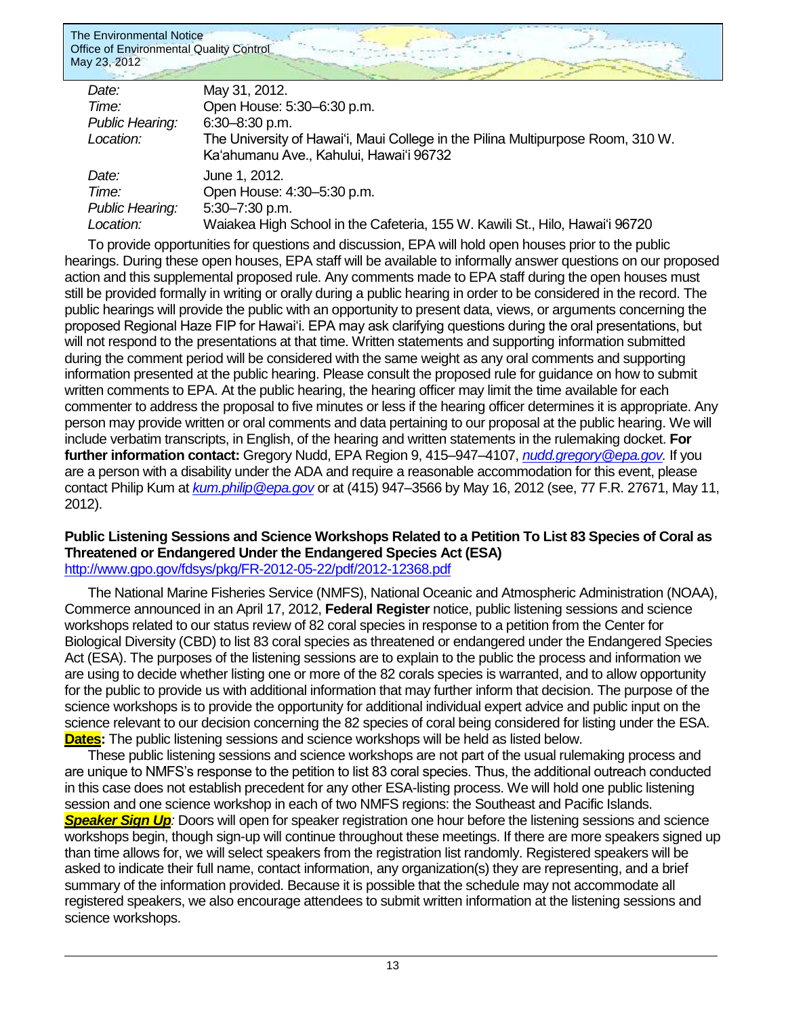| May 31, 2012.                                                                   |
|---------------------------------------------------------------------------------|
| Open House: 5:30-6:30 p.m.                                                      |
| $6:30 - 8:30$ p.m.                                                              |
| The University of Hawai'i, Maui College in the Pilina Multipurpose Room, 310 W. |
| Ka'ahumanu Ave., Kahului, Hawai'i 96732                                         |
| June 1, 2012.                                                                   |
| Open House: 4:30-5:30 p.m.                                                      |
| 5:30-7:30 p.m.                                                                  |
| Waiakea High School in the Cafeteria, 155 W. Kawili St., Hilo, Hawai'i 96720    |
|                                                                                 |

To provide opportunities for questions and discussion, EPA will hold open houses prior to the public hearings. During these open houses, EPA staff will be available to informally answer questions on our proposed action and this supplemental proposed rule. Any comments made to EPA staff during the open houses must still be provided formally in writing or orally during a public hearing in order to be considered in the record. The public hearings will provide the public with an opportunity to present data, views, or arguments concerning the proposed Regional Haze FIP for Hawai'i. EPA may ask clarifying questions during the oral presentations, but will not respond to the presentations at that time. Written statements and supporting information submitted during the comment period will be considered with the same weight as any oral comments and supporting information presented at the public hearing. Please consult the proposed rule for guidance on how to submit written comments to EPA. At the public hearing, the hearing officer may limit the time available for each commenter to address the proposal to five minutes or less if the hearing officer determines it is appropriate. Any person may provide written or oral comments and data pertaining to our proposal at the public hearing. We will include verbatim transcripts, in English, of the hearing and written statements in the rulemaking docket. **For further information contact:** Gregory Nudd, EPA Region 9, 415–947–4107, *[nudd.gregory@epa.gov.](mailto:nudd.gregory@epa.gov)* If you are a person with a disability under the ADA and require a reasonable accommodation for this event, please contact Philip Kum at *[kum.philip@epa.gov](mailto:kum.philip@epa.gov)* or at (415) 947–3566 by May 16, 2012 (see, 77 F.R. 27671, May 11, 2012).

### **Public Listening Sessions and Science Workshops Related to a Petition To List 83 Species of Coral as Threatened or Endangered Under the Endangered Species Act (ESA)** <http://www.gpo.gov/fdsys/pkg/FR-2012-05-22/pdf/2012-12368.pdf>

The National Marine Fisheries Service (NMFS), National Oceanic and Atmospheric Administration (NOAA), Commerce announced in an April 17, 2012, **Federal Register** notice, public listening sessions and science workshops related to our status review of 82 coral species in response to a petition from the Center for Biological Diversity (CBD) to list 83 coral species as threatened or endangered under the Endangered Species Act (ESA). The purposes of the listening sessions are to explain to the public the process and information we are using to decide whether listing one or more of the 82 corals species is warranted, and to allow opportunity for the public to provide us with additional information that may further inform that decision. The purpose of the science workshops is to provide the opportunity for additional individual expert advice and public input on the science relevant to our decision concerning the 82 species of coral being considered for listing under the ESA. **Dates:** The public listening sessions and science workshops will be held as listed below.

These public listening sessions and science workshops are not part of the usual rulemaking process and are unique to NMFS's response to the petition to list 83 coral species. Thus, the additional outreach conducted in this case does not establish precedent for any other ESA-listing process. We will hold one public listening session and one science workshop in each of two NMFS regions: the Southeast and Pacific Islands. *Speaker Sign Up:* Doors will open for speaker registration one hour before the listening sessions and science workshops begin, though sign-up will continue throughout these meetings. If there are more speakers signed up than time allows for, we will select speakers from the registration list randomly. Registered speakers will be asked to indicate their full name, contact information, any organization(s) they are representing, and a brief summary of the information provided. Because it is possible that the schedule may not accommodate all registered speakers, we also encourage attendees to submit written information at the listening sessions and science workshops.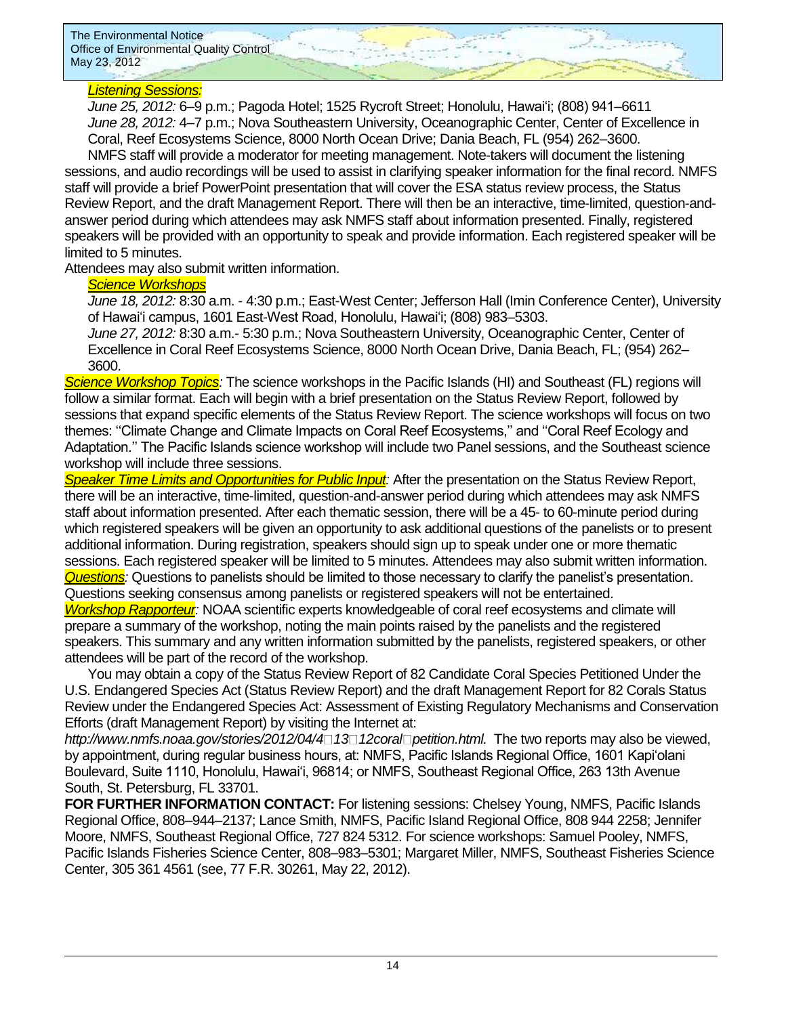### *Listening Sessions:*

*June 25, 2012:* 6–9 p.m.; Pagoda Hotel; 1525 Rycroft Street; Honolulu, Hawai'i; (808) 941–6611 *June 28, 2012:* 4–7 p.m.; Nova Southeastern University, Oceanographic Center, Center of Excellence in Coral, Reef Ecosystems Science, 8000 North Ocean Drive; Dania Beach, FL (954) 262–3600.

NMFS staff will provide a moderator for meeting management. Note-takers will document the listening sessions, and audio recordings will be used to assist in clarifying speaker information for the final record. NMFS staff will provide a brief PowerPoint presentation that will cover the ESA status review process, the Status Review Report, and the draft Management Report. There will then be an interactive, time-limited, question-andanswer period during which attendees may ask NMFS staff about information presented. Finally, registered speakers will be provided with an opportunity to speak and provide information. Each registered speaker will be limited to 5 minutes.

Attendees may also submit written information.

### *Science Workshops*

*June 18, 2012:* 8:30 a.m. - 4:30 p.m.; East-West Center; Jefferson Hall (Imin Conference Center), University of Hawai'i campus, 1601 East-West Road, Honolulu, Hawai'i; (808) 983–5303.

*June 27, 2012:* 8:30 a.m.- 5:30 p.m.; Nova Southeastern University, Oceanographic Center, Center of Excellence in Coral Reef Ecosystems Science, 8000 North Ocean Drive, Dania Beach, FL; (954) 262– 3600.

*Science Workshop Topics:* The science workshops in the Pacific Islands (HI) and Southeast (FL) regions will follow a similar format. Each will begin with a brief presentation on the Status Review Report, followed by sessions that expand specific elements of the Status Review Report. The science workshops will focus on two themes: ''Climate Change and Climate Impacts on Coral Reef Ecosystems,'' and ''Coral Reef Ecology and Adaptation.'' The Pacific Islands science workshop will include two Panel sessions, and the Southeast science workshop will include three sessions.

*Speaker Time Limits and Opportunities for Public Input:* After the presentation on the Status Review Report, there will be an interactive, time-limited, question-and-answer period during which attendees may ask NMFS staff about information presented. After each thematic session, there will be a 45- to 60-minute period during which registered speakers will be given an opportunity to ask additional questions of the panelists or to present additional information. During registration, speakers should sign up to speak under one or more thematic sessions. Each registered speaker will be limited to 5 minutes. Attendees may also submit written information. *Questions:* Questions to panelists should be limited to those necessary to clarify the panelist's presentation. Questions seeking consensus among panelists or registered speakers will not be entertained.

*Workshop Rapporteur:* NOAA scientific experts knowledgeable of coral reef ecosystems and climate will prepare a summary of the workshop, noting the main points raised by the panelists and the registered speakers. This summary and any written information submitted by the panelists, registered speakers, or other attendees will be part of the record of the workshop.

You may obtain a copy of the Status Review Report of 82 Candidate Coral Species Petitioned Under the U.S. Endangered Species Act (Status Review Report) and the draft Management Report for 82 Corals Status Review under the Endangered Species Act: Assessment of Existing Regulatory Mechanisms and Conservation Efforts (draft Management Report) by visiting the Internet at:

*http://www.nmfs.noaa.gov/stories/2012/04/4 13 12coral petition.html.* The two reports may also be viewed, by appointment, during regular business hours, at: NMFS, Pacific Islands Regional Office, 1601 Kapi'olani Boulevard, Suite 1110, Honolulu, Hawai'i, 96814; or NMFS, Southeast Regional Office, 263 13th Avenue South, St. Petersburg, FL 33701.

**FOR FURTHER INFORMATION CONTACT:** For listening sessions: Chelsey Young, NMFS, Pacific Islands Regional Office, 808–944–2137; Lance Smith, NMFS, Pacific Island Regional Office, 808 944 2258; Jennifer Moore, NMFS, Southeast Regional Office, 727 824 5312. For science workshops: Samuel Pooley, NMFS, Pacific Islands Fisheries Science Center, 808–983–5301; Margaret Miller, NMFS, Southeast Fisheries Science Center, 305 361 4561 (see, 77 F.R. 30261, May 22, 2012).